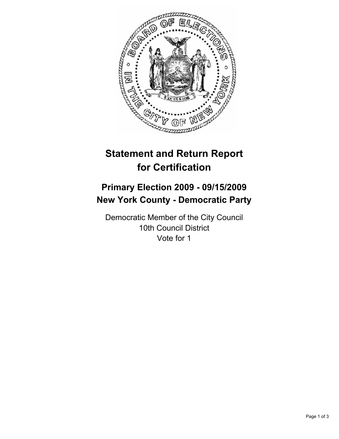

# **Statement and Return Report for Certification**

# **Primary Election 2009 - 09/15/2009 New York County - Democratic Party**

Democratic Member of the City Council 10th Council District Vote for 1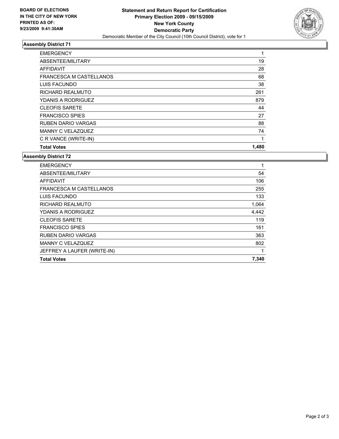

## **Assembly District 71**

| <b>EMERGENCY</b>          | 1     |
|---------------------------|-------|
| ABSENTEE/MILITARY         | 19    |
| <b>AFFIDAVIT</b>          | 28    |
| FRANCESCA M CASTELLANOS   | 68    |
| LUIS FACUNDO              | 38    |
| RICHARD REALMUTO          | 261   |
| YDANIS A RODRIGUEZ        | 879   |
| <b>CLEOFIS SARETE</b>     | 44    |
| <b>FRANCISCO SPIES</b>    | 27    |
| <b>RUBEN DARIO VARGAS</b> | 88    |
| MANNY C VELAZQUEZ         | 74    |
| C R VANCE (WRITE-IN)      | 1     |
| <b>Total Votes</b>        | 1,480 |

## **Assembly District 72**

| <b>EMERGENCY</b>               | 1     |
|--------------------------------|-------|
| ABSENTEE/MILITARY              | 54    |
| <b>AFFIDAVIT</b>               | 106   |
| <b>FRANCESCA M CASTELLANOS</b> | 255   |
| LUIS FACUNDO                   | 133   |
| RICHARD REALMUTO               | 1,064 |
| YDANIS A RODRIGUEZ             | 4,442 |
| <b>CLEOFIS SARETE</b>          | 119   |
| <b>FRANCISCO SPIES</b>         | 161   |
| <b>RUBEN DARIO VARGAS</b>      | 363   |
| <b>MANNY C VELAZQUEZ</b>       | 802   |
| JEFFREY A LAUFER (WRITE-IN)    | 1     |
| <b>Total Votes</b>             | 7,340 |